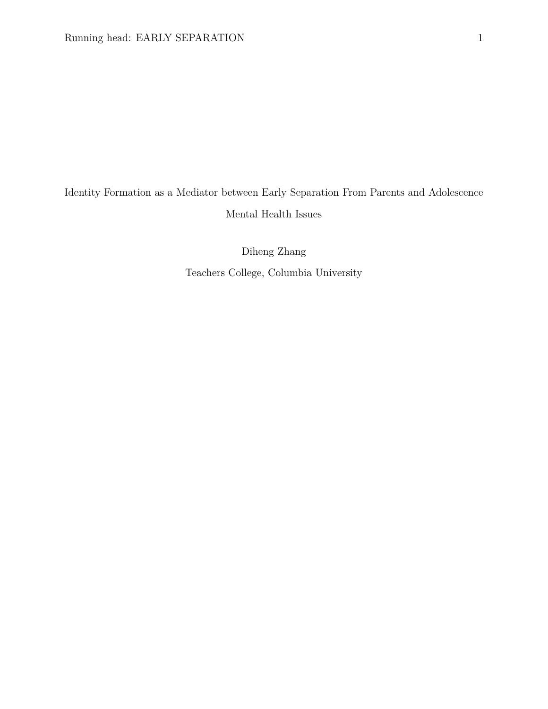# Identity Formation as a Mediator between Early Separation From Parents and Adolescence Mental Health Issues

Diheng Zhang Teachers College, Columbia University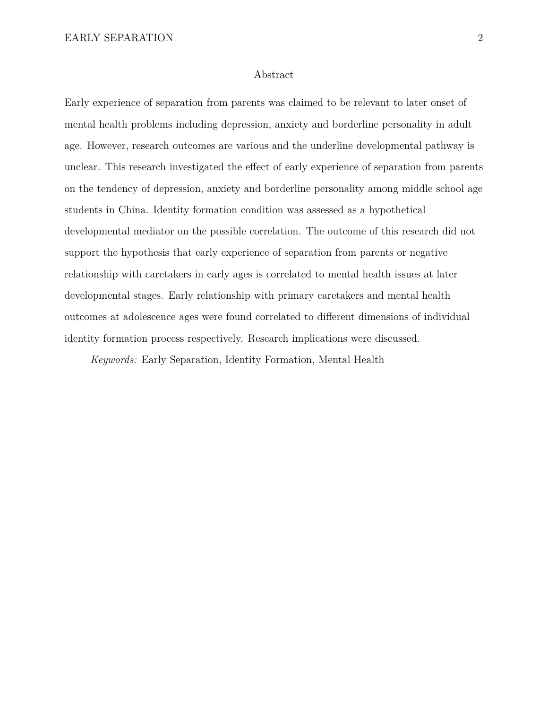#### Abstract

Early experience of separation from parents was claimed to be relevant to later onset of mental health problems including depression, anxiety and borderline personality in adult age. However, research outcomes are various and the underline developmental pathway is unclear. This research investigated the effect of early experience of separation from parents on the tendency of depression, anxiety and borderline personality among middle school age students in China. Identity formation condition was assessed as a hypothetical developmental mediator on the possible correlation. The outcome of this research did not support the hypothesis that early experience of separation from parents or negative relationship with caretakers in early ages is correlated to mental health issues at later developmental stages. Early relationship with primary caretakers and mental health outcomes at adolescence ages were found correlated to different dimensions of individual identity formation process respectively. Research implications were discussed.

*Keywords:* Early Separation, Identity Formation, Mental Health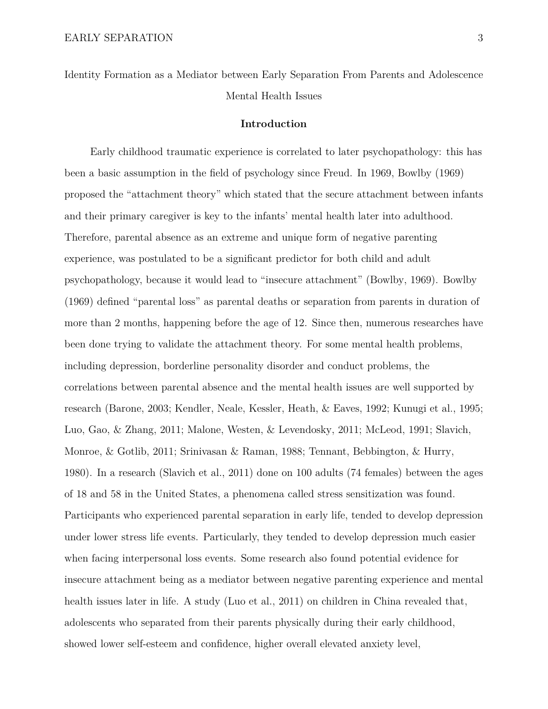Identity Formation as a Mediator between Early Separation From Parents and Adolescence Mental Health Issues

#### **Introduction**

Early childhood traumatic experience is correlated to later psychopathology: this has been a basic assumption in the field of psychology since Freud. In 1969, Bowlby (1969) proposed the "attachment theory" which stated that the secure attachment between infants and their primary caregiver is key to the infants' mental health later into adulthood. Therefore, parental absence as an extreme and unique form of negative parenting experience, was postulated to be a significant predictor for both child and adult psychopathology, because it would lead to "insecure attachment" (Bowlby, 1969). Bowlby (1969) defined "parental loss" as parental deaths or separation from parents in duration of more than 2 months, happening before the age of 12. Since then, numerous researches have been done trying to validate the attachment theory. For some mental health problems, including depression, borderline personality disorder and conduct problems, the correlations between parental absence and the mental health issues are well supported by research (Barone, 2003; Kendler, Neale, Kessler, Heath, & Eaves, 1992; Kunugi et al., 1995; Luo, Gao, & Zhang, 2011; Malone, Westen, & Levendosky, 2011; McLeod, 1991; Slavich, Monroe, & Gotlib, 2011; Srinivasan & Raman, 1988; Tennant, Bebbington, & Hurry, 1980). In a research (Slavich et al., 2011) done on 100 adults (74 females) between the ages of 18 and 58 in the United States, a phenomena called stress sensitization was found. Participants who experienced parental separation in early life, tended to develop depression under lower stress life events. Particularly, they tended to develop depression much easier when facing interpersonal loss events. Some research also found potential evidence for insecure attachment being as a mediator between negative parenting experience and mental health issues later in life. A study (Luo et al., 2011) on children in China revealed that, adolescents who separated from their parents physically during their early childhood, showed lower self-esteem and confidence, higher overall elevated anxiety level,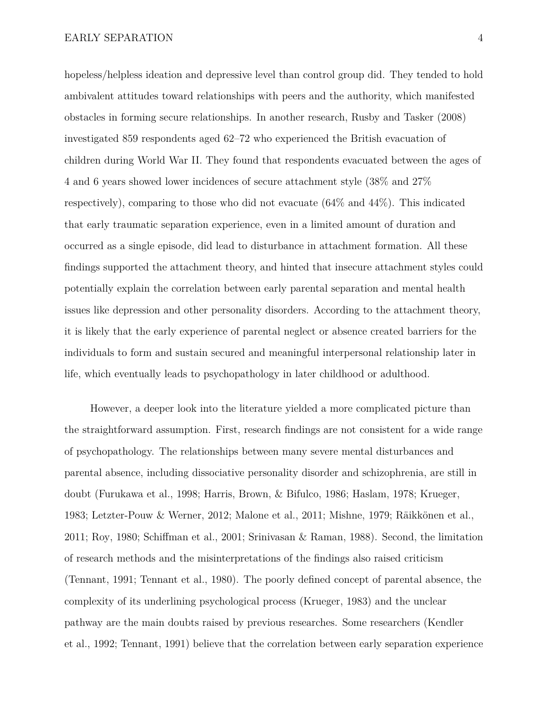hopeless/helpless ideation and depressive level than control group did. They tended to hold ambivalent attitudes toward relationships with peers and the authority, which manifested obstacles in forming secure relationships. In another research, Rusby and Tasker (2008) investigated 859 respondents aged 62–72 who experienced the British evacuation of children during World War II. They found that respondents evacuated between the ages of 4 and 6 years showed lower incidences of secure attachment style (38% and 27% respectively), comparing to those who did not evacuate (64% and 44%). This indicated that early traumatic separation experience, even in a limited amount of duration and occurred as a single episode, did lead to disturbance in attachment formation. All these findings supported the attachment theory, and hinted that insecure attachment styles could potentially explain the correlation between early parental separation and mental health issues like depression and other personality disorders. According to the attachment theory, it is likely that the early experience of parental neglect or absence created barriers for the individuals to form and sustain secured and meaningful interpersonal relationship later in life, which eventually leads to psychopathology in later childhood or adulthood.

However, a deeper look into the literature yielded a more complicated picture than the straightforward assumption. First, research findings are not consistent for a wide range of psychopathology. The relationships between many severe mental disturbances and parental absence, including dissociative personality disorder and schizophrenia, are still in doubt (Furukawa et al., 1998; Harris, Brown, & Bifulco, 1986; Haslam, 1978; Krueger, 1983; Letzter-Pouw & Werner, 2012; Malone et al., 2011; Mishne, 1979; Räikkönen et al., 2011; Roy, 1980; Schiffman et al., 2001; Srinivasan & Raman, 1988). Second, the limitation of research methods and the misinterpretations of the findings also raised criticism (Tennant, 1991; Tennant et al., 1980). The poorly defined concept of parental absence, the complexity of its underlining psychological process (Krueger, 1983) and the unclear pathway are the main doubts raised by previous researches. Some researchers (Kendler et al., 1992; Tennant, 1991) believe that the correlation between early separation experience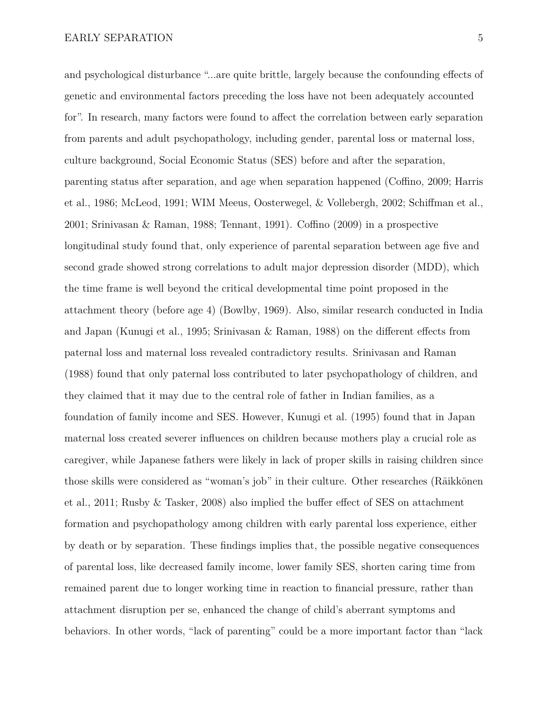and psychological disturbance "...are quite brittle, largely because the confounding effects of genetic and environmental factors preceding the loss have not been adequately accounted for". In research, many factors were found to affect the correlation between early separation

from parents and adult psychopathology, including gender, parental loss or maternal loss, culture background, Social Economic Status (SES) before and after the separation, parenting status after separation, and age when separation happened (Coffino, 2009; Harris et al., 1986; McLeod, 1991; WIM Meeus, Oosterwegel, & Vollebergh, 2002; Schiffman et al., 2001; Srinivasan & Raman, 1988; Tennant, 1991). Coffino (2009) in a prospective longitudinal study found that, only experience of parental separation between age five and second grade showed strong correlations to adult major depression disorder (MDD), which the time frame is well beyond the critical developmental time point proposed in the attachment theory (before age 4) (Bowlby, 1969). Also, similar research conducted in India and Japan (Kunugi et al., 1995; Srinivasan & Raman, 1988) on the different effects from paternal loss and maternal loss revealed contradictory results. Srinivasan and Raman (1988) found that only paternal loss contributed to later psychopathology of children, and they claimed that it may due to the central role of father in Indian families, as a foundation of family income and SES. However, Kunugi et al. (1995) found that in Japan maternal loss created severer influences on children because mothers play a crucial role as caregiver, while Japanese fathers were likely in lack of proper skills in raising children since those skills were considered as "woman's job" in their culture. Other researches (Räikkönen et al., 2011; Rusby & Tasker, 2008) also implied the buffer effect of SES on attachment formation and psychopathology among children with early parental loss experience, either by death or by separation. These findings implies that, the possible negative consequences of parental loss, like decreased family income, lower family SES, shorten caring time from remained parent due to longer working time in reaction to financial pressure, rather than attachment disruption per se, enhanced the change of child's aberrant symptoms and behaviors. In other words, "lack of parenting" could be a more important factor than "lack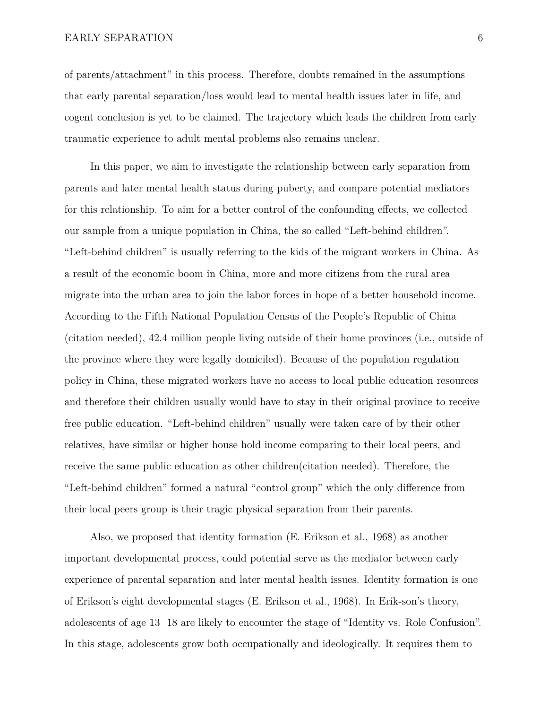of parents/attachment" in this process. Therefore, doubts remained in the assumptions that early parental separation/loss would lead to mental health issues later in life, and cogent conclusion is yet to be claimed. The trajectory which leads the children from early traumatic experience to adult mental problems also remains unclear.

In this paper, we aim to investigate the relationship between early separation from parents and later mental health status during puberty, and compare potential mediators for this relationship. To aim for a better control of the confounding effects, we collected our sample from a unique population in China, the so called "Left-behind children". "Left-behind children" is usually referring to the kids of the migrant workers in China. As a result of the economic boom in China, more and more citizens from the rural area migrate into the urban area to join the labor forces in hope of a better household income. According to the Fifth National Population Census of the People's Republic of China (citation needed), 42.4 million people living outside of their home provinces (i.e., outside of the province where they were legally domiciled). Because of the population regulation policy in China, these migrated workers have no access to local public education resources and therefore their children usually would have to stay in their original province to receive free public education. "Left-behind children" usually were taken care of by their other relatives, have similar or higher house hold income comparing to their local peers, and receive the same public education as other children(citation needed). Therefore, the "Left-behind children" formed a natural "control group" which the only difference from their local peers group is their tragic physical separation from their parents.

Also, we proposed that identity formation (E. Erikson et al., 1968) as another important developmental process, could potential serve as the mediator between early experience of parental separation and later mental health issues. Identity formation is one of Erikson's eight developmental stages (E. Erikson et al., 1968). In Erik-son's theory, adolescents of age 13 18 are likely to encounter the stage of "Identity vs. Role Confusion". In this stage, adolescents grow both occupationally and ideologically. It requires them to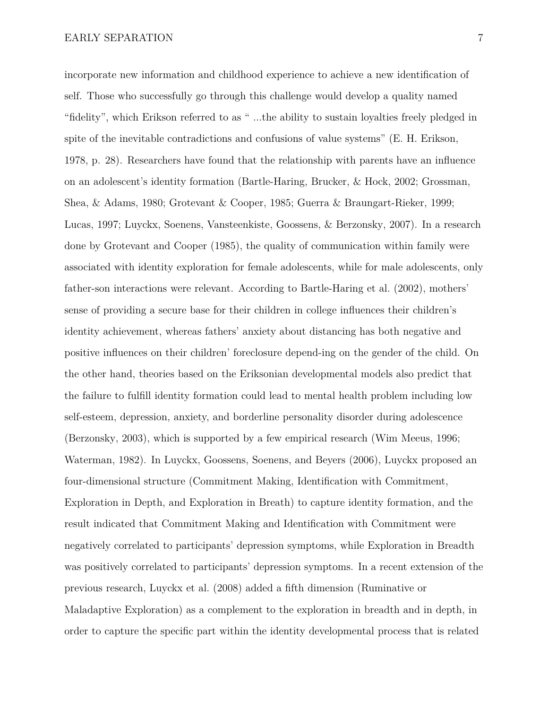incorporate new information and childhood experience to achieve a new identification of self. Those who successfully go through this challenge would develop a quality named "fidelity", which Erikson referred to as " ...the ability to sustain loyalties freely pledged in spite of the inevitable contradictions and confusions of value systems" (E. H. Erikson, 1978, p. 28). Researchers have found that the relationship with parents have an influence on an adolescent's identity formation (Bartle-Haring, Brucker, & Hock, 2002; Grossman, Shea, & Adams, 1980; Grotevant & Cooper, 1985; Guerra & Braungart-Rieker, 1999; Lucas, 1997; Luyckx, Soenens, Vansteenkiste, Goossens, & Berzonsky, 2007). In a research done by Grotevant and Cooper (1985), the quality of communication within family were associated with identity exploration for female adolescents, while for male adolescents, only father-son interactions were relevant. According to Bartle-Haring et al. (2002), mothers' sense of providing a secure base for their children in college influences their children's identity achievement, whereas fathers' anxiety about distancing has both negative and positive influences on their children' foreclosure depend-ing on the gender of the child. On the other hand, theories based on the Eriksonian developmental models also predict that the failure to fulfill identity formation could lead to mental health problem including low self-esteem, depression, anxiety, and borderline personality disorder during adolescence (Berzonsky, 2003), which is supported by a few empirical research (Wim Meeus, 1996; Waterman, 1982). In Luyckx, Goossens, Soenens, and Beyers (2006), Luyckx proposed an four-dimensional structure (Commitment Making, Identification with Commitment, Exploration in Depth, and Exploration in Breath) to capture identity formation, and the result indicated that Commitment Making and Identification with Commitment were negatively correlated to participants' depression symptoms, while Exploration in Breadth was positively correlated to participants' depression symptoms. In a recent extension of the

Maladaptive Exploration) as a complement to the exploration in breadth and in depth, in order to capture the specific part within the identity developmental process that is related

previous research, Luyckx et al. (2008) added a fifth dimension (Ruminative or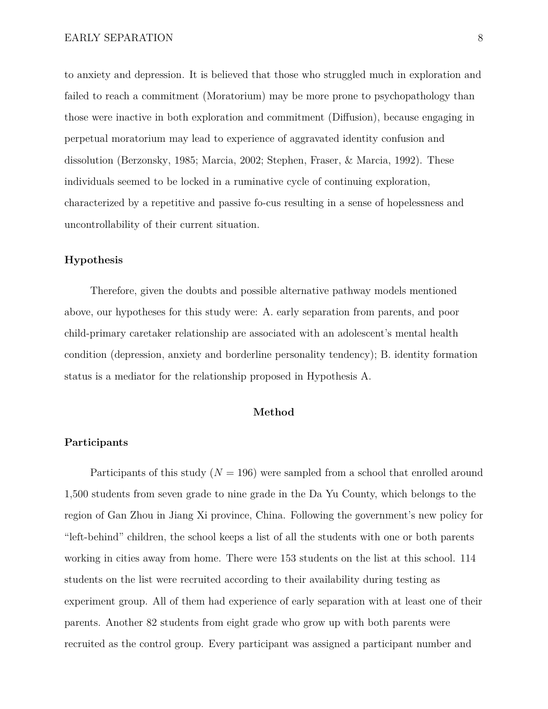to anxiety and depression. It is believed that those who struggled much in exploration and failed to reach a commitment (Moratorium) may be more prone to psychopathology than those were inactive in both exploration and commitment (Diffusion), because engaging in perpetual moratorium may lead to experience of aggravated identity confusion and dissolution (Berzonsky, 1985; Marcia, 2002; Stephen, Fraser, & Marcia, 1992). These individuals seemed to be locked in a ruminative cycle of continuing exploration, characterized by a repetitive and passive fo-cus resulting in a sense of hopelessness and uncontrollability of their current situation.

#### **Hypothesis**

Therefore, given the doubts and possible alternative pathway models mentioned above, our hypotheses for this study were: A. early separation from parents, and poor child-primary caretaker relationship are associated with an adolescent's mental health condition (depression, anxiety and borderline personality tendency); B. identity formation status is a mediator for the relationship proposed in Hypothesis A.

#### **Method**

#### **Participants**

Participants of this study  $(N = 196)$  were sampled from a school that enrolled around 1,500 students from seven grade to nine grade in the Da Yu County, which belongs to the region of Gan Zhou in Jiang Xi province, China. Following the government's new policy for "left-behind" children, the school keeps a list of all the students with one or both parents working in cities away from home. There were 153 students on the list at this school. 114 students on the list were recruited according to their availability during testing as experiment group. All of them had experience of early separation with at least one of their parents. Another 82 students from eight grade who grow up with both parents were recruited as the control group. Every participant was assigned a participant number and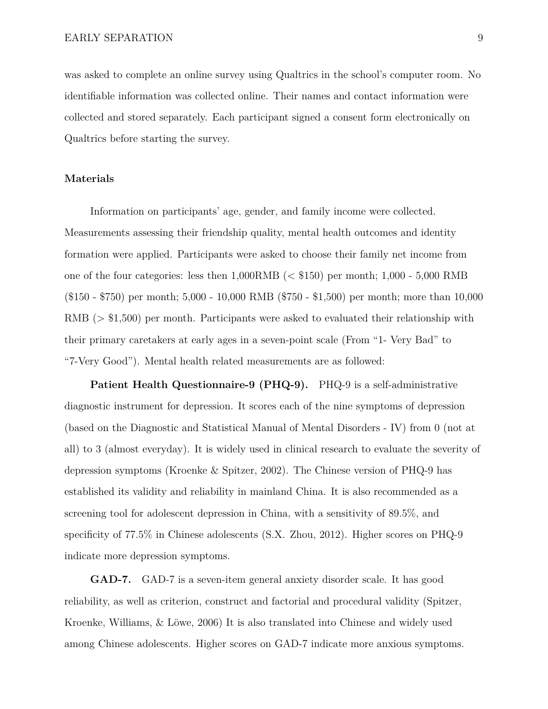was asked to complete an online survey using Qualtrics in the school's computer room. No identifiable information was collected online. Their names and contact information were collected and stored separately. Each participant signed a consent form electronically on Qualtrics before starting the survey.

#### **Materials**

Information on participants' age, gender, and family income were collected. Measurements assessing their friendship quality, mental health outcomes and identity formation were applied. Participants were asked to choose their family net income from one of the four categories: less then  $1,000RMB$  (< \$150) per month; 1,000 - 5,000 RMB (\$150 - \$750) per month; 5,000 - 10,000 RMB (\$750 - \$1,500) per month; more than 10,000 RMB (> \$1,500) per month. Participants were asked to evaluated their relationship with their primary caretakers at early ages in a seven-point scale (From "1- Very Bad" to "7-Very Good"). Mental health related measurements are as followed:

**Patient Health Questionnaire-9 (PHQ-9).** PHQ-9 is a self-administrative diagnostic instrument for depression. It scores each of the nine symptoms of depression (based on the Diagnostic and Statistical Manual of Mental Disorders - IV) from 0 (not at all) to 3 (almost everyday). It is widely used in clinical research to evaluate the severity of depression symptoms (Kroenke & Spitzer, 2002). The Chinese version of PHQ-9 has established its validity and reliability in mainland China. It is also recommended as a screening tool for adolescent depression in China, with a sensitivity of 89.5%, and specificity of 77.5% in Chinese adolescents (S.X. Zhou, 2012). Higher scores on PHQ-9 indicate more depression symptoms.

**GAD-7.** GAD-7 is a seven-item general anxiety disorder scale. It has good reliability, as well as criterion, construct and factorial and procedural validity (Spitzer, Kroenke, Williams, & Löwe, 2006) It is also translated into Chinese and widely used among Chinese adolescents. Higher scores on GAD-7 indicate more anxious symptoms.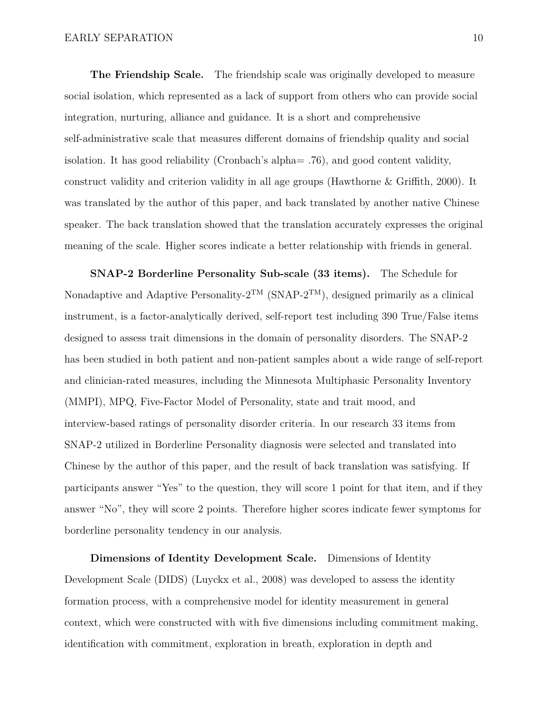**The Friendship Scale.** The friendship scale was originally developed to measure social isolation, which represented as a lack of support from others who can provide social integration, nurturing, alliance and guidance. It is a short and comprehensive self-administrative scale that measures different domains of friendship quality and social isolation. It has good reliability (Cronbach's alpha= .76), and good content validity, construct validity and criterion validity in all age groups (Hawthorne & Griffith, 2000). It was translated by the author of this paper, and back translated by another native Chinese speaker. The back translation showed that the translation accurately expresses the original meaning of the scale. Higher scores indicate a better relationship with friends in general.

**SNAP-2 Borderline Personality Sub-scale (33 items).** The Schedule for Nonadaptive and Adaptive Personality- $2^{TM}$  (SNAP- $2^{TM}$ ), designed primarily as a clinical instrument, is a factor-analytically derived, self-report test including 390 True/False items designed to assess trait dimensions in the domain of personality disorders. The SNAP-2 has been studied in both patient and non-patient samples about a wide range of self-report and clinician-rated measures, including the Minnesota Multiphasic Personality Inventory (MMPI), MPQ, Five-Factor Model of Personality, state and trait mood, and interview-based ratings of personality disorder criteria. In our research 33 items from SNAP-2 utilized in Borderline Personality diagnosis were selected and translated into Chinese by the author of this paper, and the result of back translation was satisfying. If participants answer "Yes" to the question, they will score 1 point for that item, and if they answer "No", they will score 2 points. Therefore higher scores indicate fewer symptoms for borderline personality tendency in our analysis.

**Dimensions of Identity Development Scale.** Dimensions of Identity Development Scale (DIDS) (Luyckx et al., 2008) was developed to assess the identity formation process, with a comprehensive model for identity measurement in general context, which were constructed with with five dimensions including commitment making, identification with commitment, exploration in breath, exploration in depth and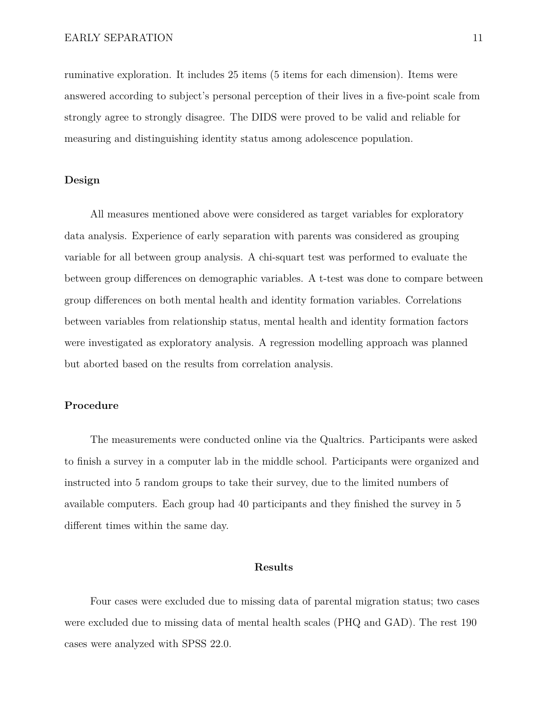ruminative exploration. It includes 25 items (5 items for each dimension). Items were answered according to subject's personal perception of their lives in a five-point scale from strongly agree to strongly disagree. The DIDS were proved to be valid and reliable for measuring and distinguishing identity status among adolescence population.

#### **Design**

All measures mentioned above were considered as target variables for exploratory data analysis. Experience of early separation with parents was considered as grouping variable for all between group analysis. A chi-squart test was performed to evaluate the between group differences on demographic variables. A t-test was done to compare between group differences on both mental health and identity formation variables. Correlations between variables from relationship status, mental health and identity formation factors were investigated as exploratory analysis. A regression modelling approach was planned but aborted based on the results from correlation analysis.

#### **Procedure**

The measurements were conducted online via the Qualtrics. Participants were asked to finish a survey in a computer lab in the middle school. Participants were organized and instructed into 5 random groups to take their survey, due to the limited numbers of available computers. Each group had 40 participants and they finished the survey in 5 different times within the same day.

#### **Results**

Four cases were excluded due to missing data of parental migration status; two cases were excluded due to missing data of mental health scales (PHQ and GAD). The rest 190 cases were analyzed with SPSS 22.0.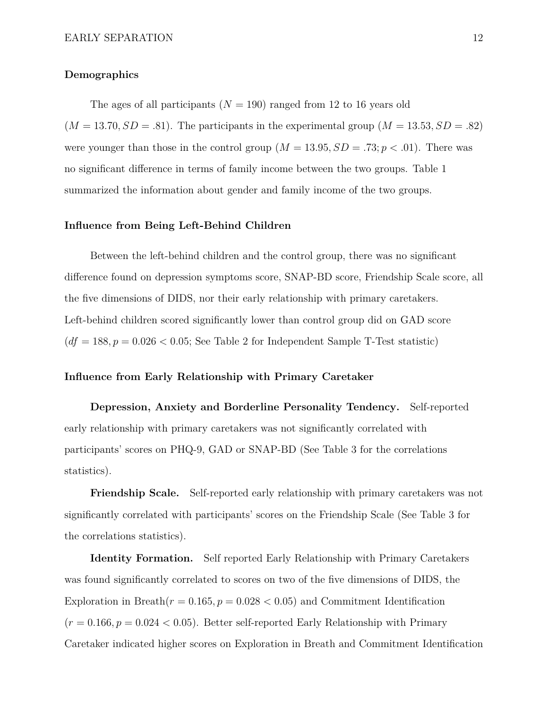#### **Demographics**

The ages of all participants  $(N = 190)$  ranged from 12 to 16 years old  $(M = 13.70, SD = .81)$ . The participants in the experimental group  $(M = 13.53, SD = .82)$ were younger than those in the control group  $(M = 13.95, SD = .73; p < .01)$ . There was

no significant difference in terms of family income between the two groups. Table 1 summarized the information about gender and family income of the two groups.

#### **Influence from Being Left-Behind Children**

Between the left-behind children and the control group, there was no significant difference found on depression symptoms score, SNAP-BD score, Friendship Scale score, all the five dimensions of DIDS, nor their early relationship with primary caretakers. Left-behind children scored significantly lower than control group did on GAD score  $(df = 188, p = 0.026 < 0.05;$  See Table 2 for Independent Sample T-Test statistic)

#### **Influence from Early Relationship with Primary Caretaker**

**Depression, Anxiety and Borderline Personality Tendency.** Self-reported early relationship with primary caretakers was not significantly correlated with participants' scores on PHQ-9, GAD or SNAP-BD (See Table 3 for the correlations statistics).

**Friendship Scale.** Self-reported early relationship with primary caretakers was not significantly correlated with participants' scores on the Friendship Scale (See Table 3 for the correlations statistics).

**Identity Formation.** Self reported Early Relationship with Primary Caretakers was found significantly correlated to scores on two of the five dimensions of DIDS, the Exploration in Breath $(r = 0.165, p = 0.028 < 0.05)$  and Commitment Identification  $(r = 0.166, p = 0.024 < 0.05)$ . Better self-reported Early Relationship with Primary Caretaker indicated higher scores on Exploration in Breath and Commitment Identification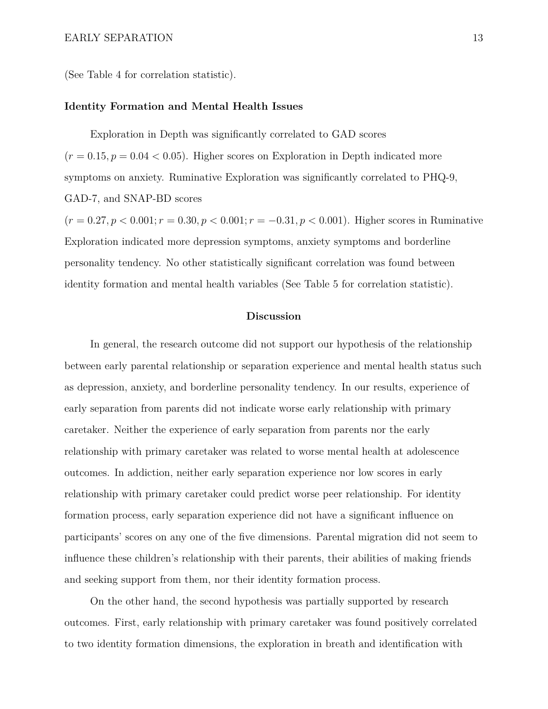(See Table 4 for correlation statistic).

#### **Identity Formation and Mental Health Issues**

Exploration in Depth was significantly correlated to GAD scores  $(r = 0.15, p = 0.04 < 0.05)$ . Higher scores on Exploration in Depth indicated more symptoms on anxiety. Ruminative Exploration was significantly correlated to PHQ-9, GAD-7, and SNAP-BD scores

 $(r = 0.27, p < 0.001; r = 0.30, p < 0.001; r = -0.31, p < 0.001$ . Higher scores in Ruminative Exploration indicated more depression symptoms, anxiety symptoms and borderline personality tendency. No other statistically significant correlation was found between identity formation and mental health variables (See Table 5 for correlation statistic).

#### **Discussion**

In general, the research outcome did not support our hypothesis of the relationship between early parental relationship or separation experience and mental health status such as depression, anxiety, and borderline personality tendency. In our results, experience of early separation from parents did not indicate worse early relationship with primary caretaker. Neither the experience of early separation from parents nor the early relationship with primary caretaker was related to worse mental health at adolescence outcomes. In addiction, neither early separation experience nor low scores in early relationship with primary caretaker could predict worse peer relationship. For identity formation process, early separation experience did not have a significant influence on participants' scores on any one of the five dimensions. Parental migration did not seem to influence these children's relationship with their parents, their abilities of making friends and seeking support from them, nor their identity formation process.

On the other hand, the second hypothesis was partially supported by research outcomes. First, early relationship with primary caretaker was found positively correlated to two identity formation dimensions, the exploration in breath and identification with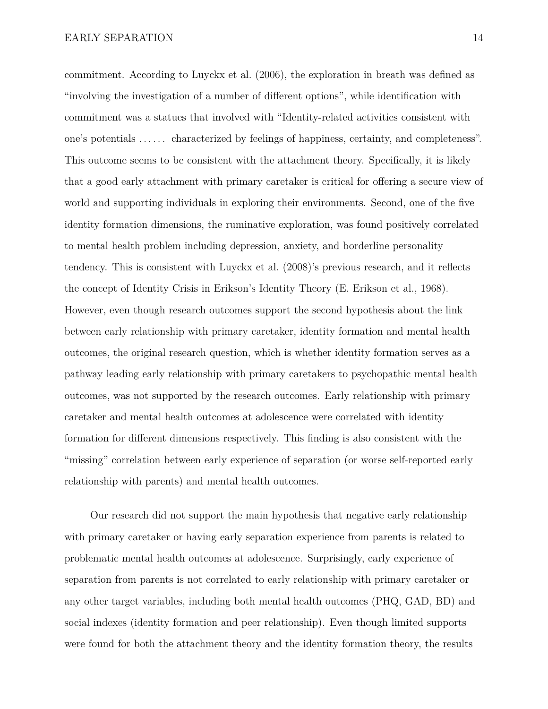commitment. According to Luyckx et al. (2006), the exploration in breath was defined as "involving the investigation of a number of different options", while identification with commitment was a statues that involved with "Identity-related activities consistent with one's potentials ...... characterized by feelings of happiness, certainty, and completeness". This outcome seems to be consistent with the attachment theory. Specifically, it is likely that a good early attachment with primary caretaker is critical for offering a secure view of world and supporting individuals in exploring their environments. Second, one of the five identity formation dimensions, the ruminative exploration, was found positively correlated to mental health problem including depression, anxiety, and borderline personality tendency. This is consistent with Luyckx et al. (2008)'s previous research, and it reflects the concept of Identity Crisis in Erikson's Identity Theory (E. Erikson et al., 1968). However, even though research outcomes support the second hypothesis about the link between early relationship with primary caretaker, identity formation and mental health outcomes, the original research question, which is whether identity formation serves as a pathway leading early relationship with primary caretakers to psychopathic mental health outcomes, was not supported by the research outcomes. Early relationship with primary caretaker and mental health outcomes at adolescence were correlated with identity formation for different dimensions respectively. This finding is also consistent with the "missing" correlation between early experience of separation (or worse self-reported early relationship with parents) and mental health outcomes.

Our research did not support the main hypothesis that negative early relationship with primary caretaker or having early separation experience from parents is related to problematic mental health outcomes at adolescence. Surprisingly, early experience of separation from parents is not correlated to early relationship with primary caretaker or any other target variables, including both mental health outcomes (PHQ, GAD, BD) and social indexes (identity formation and peer relationship). Even though limited supports were found for both the attachment theory and the identity formation theory, the results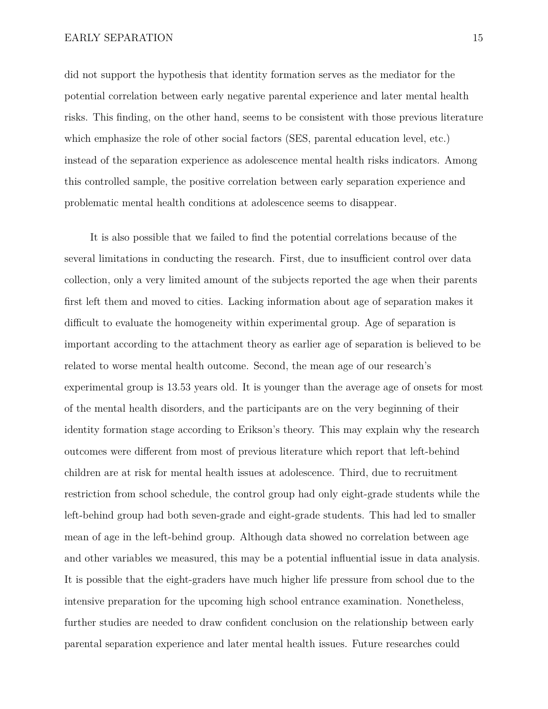did not support the hypothesis that identity formation serves as the mediator for the potential correlation between early negative parental experience and later mental health risks. This finding, on the other hand, seems to be consistent with those previous literature which emphasize the role of other social factors (SES, parental education level, etc.) instead of the separation experience as adolescence mental health risks indicators. Among this controlled sample, the positive correlation between early separation experience and problematic mental health conditions at adolescence seems to disappear.

It is also possible that we failed to find the potential correlations because of the several limitations in conducting the research. First, due to insufficient control over data collection, only a very limited amount of the subjects reported the age when their parents first left them and moved to cities. Lacking information about age of separation makes it difficult to evaluate the homogeneity within experimental group. Age of separation is important according to the attachment theory as earlier age of separation is believed to be related to worse mental health outcome. Second, the mean age of our research's experimental group is 13.53 years old. It is younger than the average age of onsets for most of the mental health disorders, and the participants are on the very beginning of their identity formation stage according to Erikson's theory. This may explain why the research outcomes were different from most of previous literature which report that left-behind children are at risk for mental health issues at adolescence. Third, due to recruitment restriction from school schedule, the control group had only eight-grade students while the left-behind group had both seven-grade and eight-grade students. This had led to smaller mean of age in the left-behind group. Although data showed no correlation between age and other variables we measured, this may be a potential influential issue in data analysis. It is possible that the eight-graders have much higher life pressure from school due to the intensive preparation for the upcoming high school entrance examination. Nonetheless, further studies are needed to draw confident conclusion on the relationship between early parental separation experience and later mental health issues. Future researches could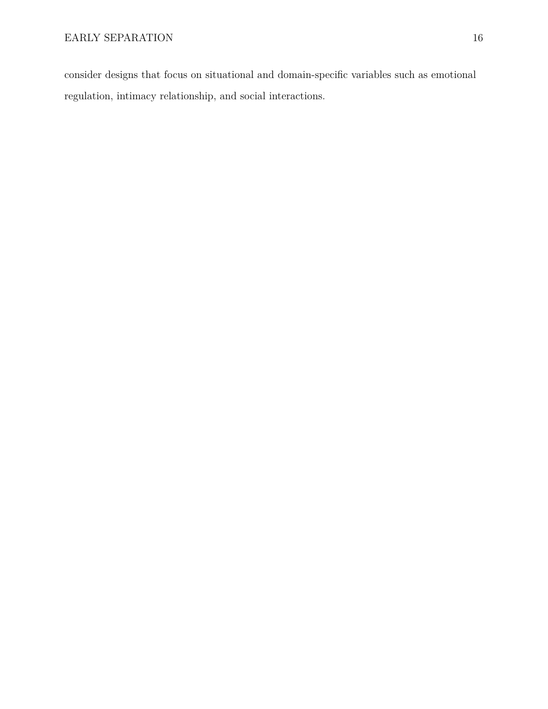consider designs that focus on situational and domain-specific variables such as emotional regulation, intimacy relationship, and social interactions.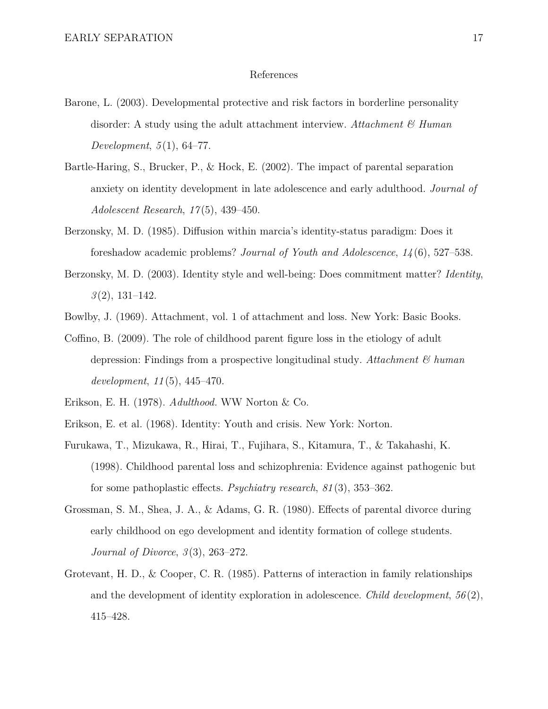#### References

- Barone, L. (2003). Developmental protective and risk factors in borderline personality disorder: A study using the adult attachment interview. *Attachment & Human Development*, *5* (1), 64–77.
- Bartle-Haring, S., Brucker, P., & Hock, E. (2002). The impact of parental separation anxiety on identity development in late adolescence and early adulthood. *Journal of Adolescent Research*, *17* (5), 439–450.
- Berzonsky, M. D. (1985). Diffusion within marcia's identity-status paradigm: Does it foreshadow academic problems? *Journal of Youth and Adolescence*, *14* (6), 527–538.
- Berzonsky, M. D. (2003). Identity style and well-being: Does commitment matter? *Identity*, *3* (2), 131–142.
- Bowlby, J. (1969). Attachment, vol. 1 of attachment and loss. New York: Basic Books.
- Coffino, B. (2009). The role of childhood parent figure loss in the etiology of adult depression: Findings from a prospective longitudinal study. *Attachment & human development*, *11* (5), 445–470.
- Erikson, E. H. (1978). *Adulthood.* WW Norton & Co.
- Erikson, E. et al. (1968). Identity: Youth and crisis. New York: Norton.
- Furukawa, T., Mizukawa, R., Hirai, T., Fujihara, S., Kitamura, T., & Takahashi, K. (1998). Childhood parental loss and schizophrenia: Evidence against pathogenic but for some pathoplastic effects. *Psychiatry research*, *81* (3), 353–362.
- Grossman, S. M., Shea, J. A., & Adams, G. R. (1980). Effects of parental divorce during early childhood on ego development and identity formation of college students. *Journal of Divorce*, *3* (3), 263–272.
- Grotevant, H. D., & Cooper, C. R. (1985). Patterns of interaction in family relationships and the development of identity exploration in adolescence. *Child development*, *56* (2), 415–428.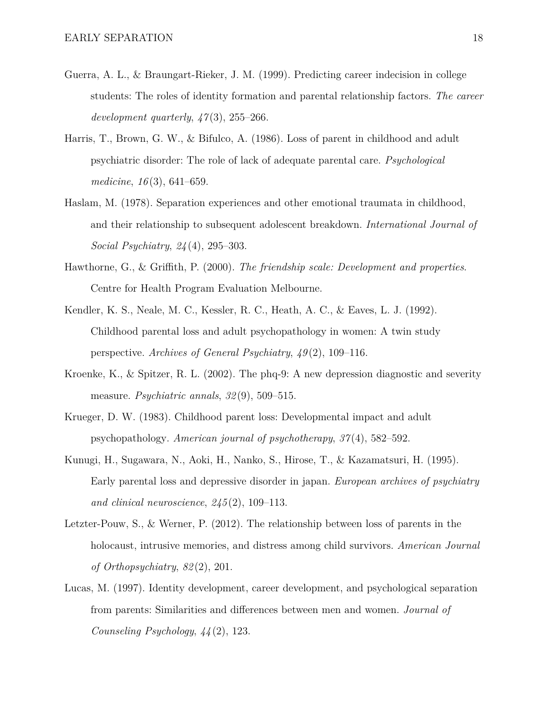- Guerra, A. L., & Braungart-Rieker, J. M. (1999). Predicting career indecision in college students: The roles of identity formation and parental relationship factors. *The career development quarterly*, *47* (3), 255–266.
- Harris, T., Brown, G. W., & Bifulco, A. (1986). Loss of parent in childhood and adult psychiatric disorder: The role of lack of adequate parental care. *Psychological medicine*, *16* (3), 641–659.
- Haslam, M. (1978). Separation experiences and other emotional traumata in childhood, and their relationship to subsequent adolescent breakdown. *International Journal of Social Psychiatry*, *24* (4), 295–303.
- Hawthorne, G., & Griffith, P. (2000). *The friendship scale: Development and properties*. Centre for Health Program Evaluation Melbourne.
- Kendler, K. S., Neale, M. C., Kessler, R. C., Heath, A. C., & Eaves, L. J. (1992). Childhood parental loss and adult psychopathology in women: A twin study perspective. *Archives of General Psychiatry*, *49* (2), 109–116.
- Kroenke, K., & Spitzer, R. L. (2002). The phq-9: A new depression diagnostic and severity measure. *Psychiatric annals*, *32* (9), 509–515.
- Krueger, D. W. (1983). Childhood parent loss: Developmental impact and adult psychopathology. *American journal of psychotherapy*, *37* (4), 582–592.
- Kunugi, H., Sugawara, N., Aoki, H., Nanko, S., Hirose, T., & Kazamatsuri, H. (1995). Early parental loss and depressive disorder in japan. *European archives of psychiatry and clinical neuroscience*, *245* (2), 109–113.
- Letzter-Pouw, S., & Werner, P. (2012). The relationship between loss of parents in the holocaust, intrusive memories, and distress among child survivors. *American Journal of Orthopsychiatry*, *82* (2), 201.
- Lucas, M. (1997). Identity development, career development, and psychological separation from parents: Similarities and differences between men and women. *Journal of Counseling Psychology*, *44* (2), 123.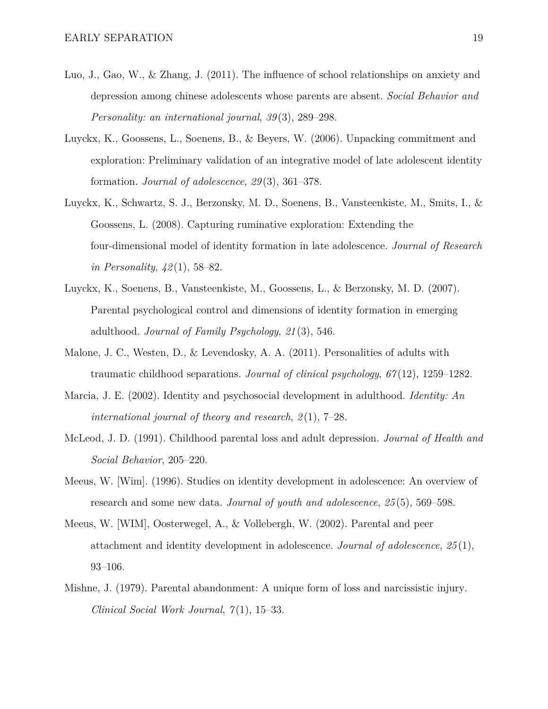- Luo, J., Gao, W., & Zhang, J. (2011). The influence of school relationships on anxiety and depression among chinese adolescents whose parents are absent. *Social Behavior and Personality: an international journal*, *39* (3), 289–298.
- Luyckx, K., Goossens, L., Soenens, B., & Beyers, W. (2006). Unpacking commitment and exploration: Preliminary validation of an integrative model of late adolescent identity formation. *Journal of adolescence*, *29* (3), 361–378.
- Luyckx, K., Schwartz, S. J., Berzonsky, M. D., Soenens, B., Vansteenkiste, M., Smits, I., & Goossens, L. (2008). Capturing ruminative exploration: Extending the four-dimensional model of identity formation in late adolescence. *Journal of Research in Personality*, *42* (1), 58–82.
- Luyckx, K., Soenens, B., Vansteenkiste, M., Goossens, L., & Berzonsky, M. D. (2007). Parental psychological control and dimensions of identity formation in emerging adulthood. *Journal of Family Psychology*, *21* (3), 546.
- Malone, J. C., Westen, D., & Levendosky, A. A. (2011). Personalities of adults with traumatic childhood separations. *Journal of clinical psychology*, *67* (12), 1259–1282.
- Marcia, J. E. (2002). Identity and psychosocial development in adulthood. *Identity: An international journal of theory and research*, *2* (1), 7–28.
- McLeod, J. D. (1991). Childhood parental loss and adult depression. *Journal of Health and Social Behavior*, 205–220.
- Meeus, W. [Wim]. (1996). Studies on identity development in adolescence: An overview of research and some new data. *Journal of youth and adolescence*, *25* (5), 569–598.
- Meeus, W. [WIM], Oosterwegel, A., & Vollebergh, W. (2002). Parental and peer attachment and identity development in adolescence. *Journal of adolescence*, *25* (1), 93–106.
- Mishne, J. (1979). Parental abandonment: A unique form of loss and narcissistic injury. *Clinical Social Work Journal*, *7* (1), 15–33.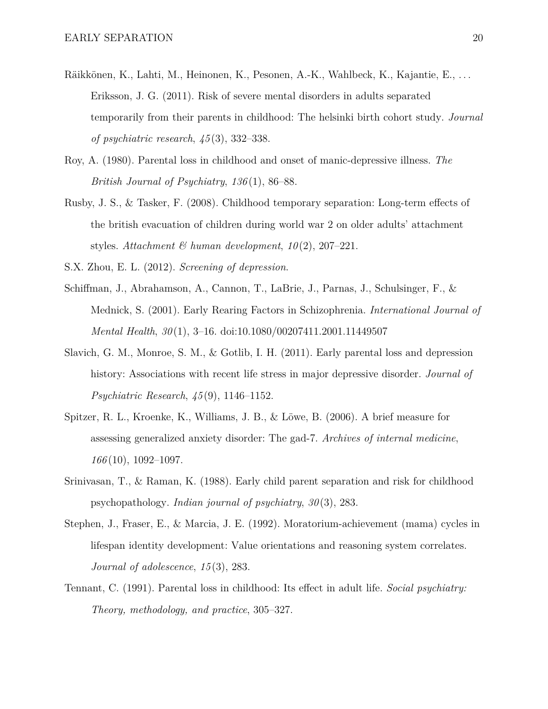- Räikkönen, K., Lahti, M., Heinonen, K., Pesonen, A.-K., Wahlbeck, K., Kajantie, E., . . . Eriksson, J. G. (2011). Risk of severe mental disorders in adults separated temporarily from their parents in childhood: The helsinki birth cohort study. *Journal of psychiatric research*, *45* (3), 332–338.
- Roy, A. (1980). Parental loss in childhood and onset of manic-depressive illness. *The British Journal of Psychiatry*, *136* (1), 86–88.
- Rusby, J. S., & Tasker, F. (2008). Childhood temporary separation: Long-term effects of the british evacuation of children during world war 2 on older adults' attachment styles. *Attachment & human development*, *10* (2), 207–221.
- S.X. Zhou, E. L. (2012). *Screening of depression*.
- Schiffman, J., Abrahamson, A., Cannon, T., LaBrie, J., Parnas, J., Schulsinger, F., & Mednick, S. (2001). Early Rearing Factors in Schizophrenia. *International Journal of Mental Health*, *30* (1), 3–16. doi:10.1080/00207411.2001.11449507
- Slavich, G. M., Monroe, S. M., & Gotlib, I. H. (2011). Early parental loss and depression history: Associations with recent life stress in major depressive disorder. *Journal of Psychiatric Research*, *45* (9), 1146–1152.
- Spitzer, R. L., Kroenke, K., Williams, J. B., & Löwe, B. (2006). A brief measure for assessing generalized anxiety disorder: The gad-7. *Archives of internal medicine*, *166* (10), 1092–1097.
- Srinivasan, T., & Raman, K. (1988). Early child parent separation and risk for childhood psychopathology. *Indian journal of psychiatry*, *30* (3), 283.
- Stephen, J., Fraser, E., & Marcia, J. E. (1992). Moratorium-achievement (mama) cycles in lifespan identity development: Value orientations and reasoning system correlates. *Journal of adolescence*, *15* (3), 283.
- Tennant, C. (1991). Parental loss in childhood: Its effect in adult life. *Social psychiatry: Theory, methodology, and practice*, 305–327.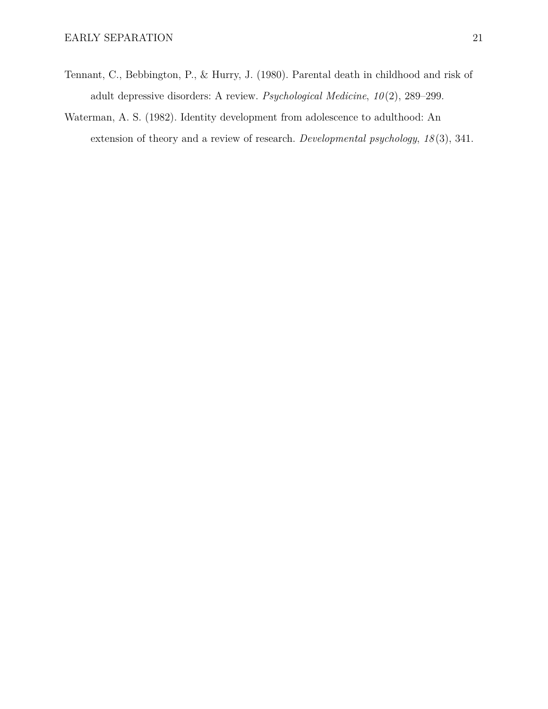- Tennant, C., Bebbington, P., & Hurry, J. (1980). Parental death in childhood and risk of adult depressive disorders: A review. *Psychological Medicine*, *10* (2), 289–299.
- Waterman, A. S. (1982). Identity development from adolescence to adulthood: An extension of theory and a review of research. *Developmental psychology*, *18* (3), 341.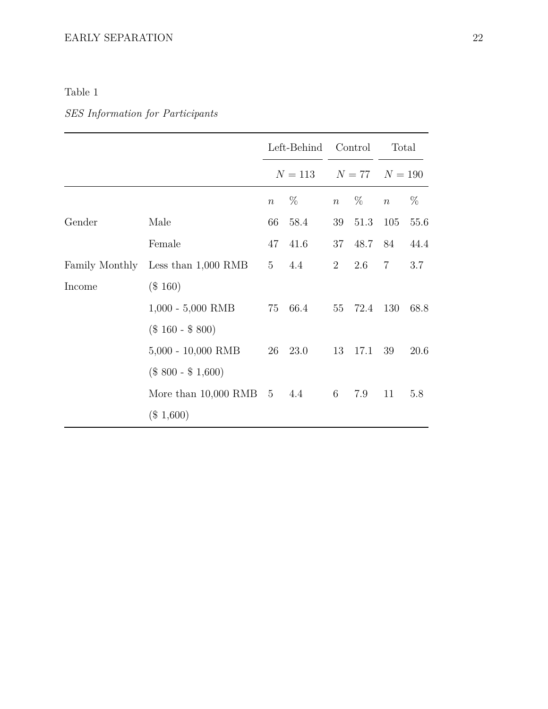## Table 1

# *SES Information for Participants*

|        |                                    |                 | Left-Behind | Control          |         | Total<br>$N = 77$ $N = 190$ |      |
|--------|------------------------------------|-----------------|-------------|------------------|---------|-----------------------------|------|
|        |                                    |                 | $N = 113$   |                  |         |                             |      |
|        |                                    | $\, n$          | $\%$        | $\boldsymbol{n}$ | $\%$    | $\, n$                      | $\%$ |
| Gender | Male                               | 66              | 58.4        |                  | 39 51.3 | 105                         | 55.6 |
|        | Female                             | 47              | 41.6        | 37               | 48.7    | 84                          | 44.4 |
|        | Family Monthly Less than 1,000 RMB | $5\overline{)}$ | 4.4         | 2 <sup>1</sup>   | 2.6     | $7\overline{ }$             | 3.7  |
| Income | $(\$160)$                          |                 |             |                  |         |                             |      |
|        | $1,000 - 5,000$ RMB                |                 | 75 66.4     |                  | 55 72.4 | 130                         | 68.8 |
|        | $(\$160 - \$800)$                  |                 |             |                  |         |                             |      |
|        | $5,000 - 10,000$ RMB               |                 | 26 23.0     | 13               | 17.1    | 39                          | 20.6 |
|        | $(\$ 800 - \$ 1,600)$              |                 |             |                  |         |                             |      |
|        | More than $10,000$ RMB $5$         |                 | 4.4         | 6                | 7.9     | 11                          | 5.8  |
|        | $(\$1,600)$                        |                 |             |                  |         |                             |      |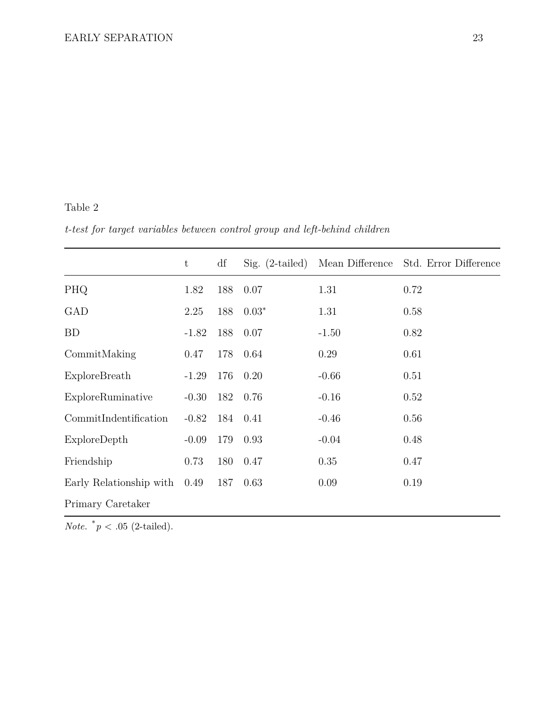### Table 2

*t-test for target variables between control group and left-behind children*

|                         | t       | df  | $Sig.$ (2-tailed) | Mean Difference | Std. Error Difference |
|-------------------------|---------|-----|-------------------|-----------------|-----------------------|
| PHQ                     | 1.82    | 188 | 0.07              | 1.31            | 0.72                  |
| GAD                     | 2.25    | 188 | $0.03*$           | 1.31            | 0.58                  |
| BD                      | $-1.82$ | 188 | 0.07              | $-1.50$         | 0.82                  |
| CommitMaking            | 0.47    | 178 | 0.64              | 0.29            | 0.61                  |
| ExploreBreath           | $-1.29$ | 176 | 0.20              | $-0.66$         | 0.51                  |
| ExploreRuminative       | $-0.30$ | 182 | 0.76              | $-0.16$         | 0.52                  |
| CommitIndentification   | $-0.82$ |     | 184 0.41          | $-0.46$         | 0.56                  |
| ExploreDepth            | $-0.09$ | 179 | 0.93              | $-0.04$         | 0.48                  |
| Friendship              | 0.73    | 180 | 0.47              | 0.35            | 0.47                  |
| Early Relationship with | 0.49    | 187 | 0.63              | 0.09            | 0.19                  |
| Primary Caretaker       |         |     |                   |                 |                       |

*Note.*  $*_{p} < .05$  (2-tailed).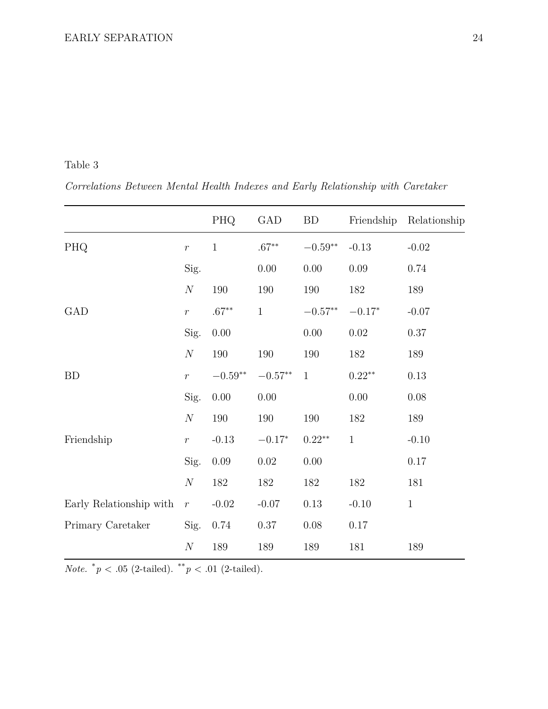Table 3

*Correlations Between Mental Health Indexes and Early Relationship with Caretaker*

|                         |                  | PHQ                | GAD            | <b>BD</b>          | Friendship   | Relationship |
|-------------------------|------------------|--------------------|----------------|--------------------|--------------|--------------|
| PHQ                     | $\boldsymbol{r}$ | $\mathbf{1}$       | $.67**$        | $-0.59**$          | $-0.13$      | $-0.02$      |
|                         | $\mathrm{Sig}.$  |                    | $0.00\,$       | $0.00\,$           | $0.09\,$     | 0.74         |
|                         | $\boldsymbol{N}$ | 190                | 190            | 190                | 182          | 189          |
| GAD                     | $\,r\,$          | $.67**$            | $\mathbf{1}$   | $-0.57^{\ast\ast}$ | $-0.17*$     | $-0.07$      |
|                         | Sig.             | $0.00\,$           |                | $0.00\,$           | 0.02         | 0.37         |
|                         | $\cal N$         | $190\,$            | 190            | 190                | 182          | 189          |
| <b>BD</b>               | $\bar{r}$        | $-0.59^{\ast\ast}$ | $-0.57**$      | $\mathbf{1}$       | $0.22**$     | 0.13         |
|                         | Sig.             | 0.00               | 0.00           |                    | $0.00\,$     | 0.08         |
|                         | $\cal N$         | 190                | 190            | 190                | 182          | 189          |
| Friendship              | $\boldsymbol{r}$ | $-0.13$            | $-0.17^{\ast}$ | $0.22**$           | $\mathbf{1}$ | $-0.10$      |
|                         | Sig.             | $0.09\,$           | $0.02\,$       | 0.00               |              | 0.17         |
|                         | $\cal N$         | 182                | 182            | 182                | 182          | 181          |
| Early Relationship with | $\bar{r}$        | $-0.02$            | $-0.07$        | $0.13\,$           | $-0.10$      | $\,1\,$      |
| Primary Caretaker       | Sig.             | 0.74               | 0.37           | $0.08\,$           | 0.17         |              |
|                         | $\cal N$         | 189                | 189            | 189                | 181          | 189          |

*Note.*  $*_{p}$  < .05 (2-tailed).  $*_{p}$  < .01 (2-tailed).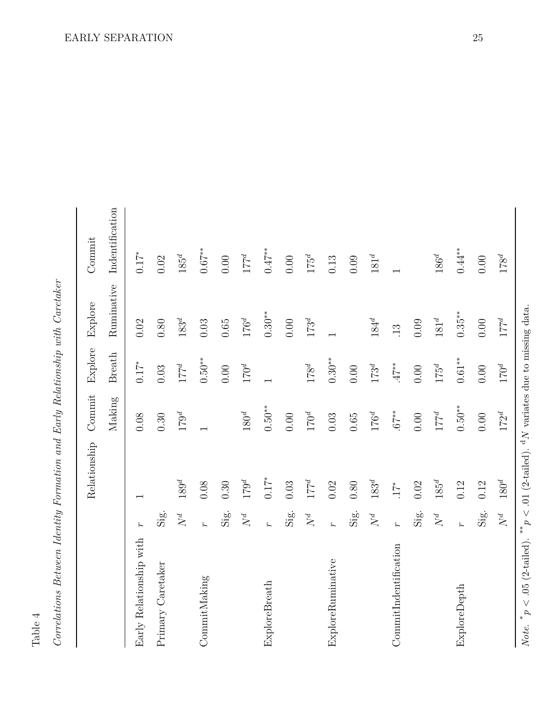| 1 |  |
|---|--|
|   |  |
| г |  |

| .<br>^<br>j<br>Ç<br>$\ddot{\phantom{0}}$<br>ζ                                            |
|------------------------------------------------------------------------------------------|
| $0.700$ $0.107$                                                                          |
| 4<br>i<br>Casar<br>ţ<br>i<br>$\overline{\cdot}$<br>$\frac{1}{2}$<br>$\mathfrak{c}$       |
| سسسا<br>ļ                                                                                |
| z                                                                                        |
| 5<br>ŗ<br>I                                                                              |
| π<br>י<br>ו<br>ŀ<br>I                                                                    |
| C<br>CO<br>$\frac{1}{2}$<br>$\frac{1}{2}$<br>ſ                                           |
| $\ddot{\phantom{0}}$<br>$\frac{1}{2}$<br>P<br>Í<br>$\mathcal{L}_{\mathsf{conv}}$<br>しりこく |

|                         |                      | Relationship             | $\label{eq:1} \text{Commit}$ | Explore       | Explore     | Commit          |
|-------------------------|----------------------|--------------------------|------------------------------|---------------|-------------|-----------------|
|                         |                      |                          | Making                       | <b>Breath</b> | Ruminative  | Indentification |
| Early Relationship with | ٤                    | $\overline{\phantom{0}}$ | 0.08                         | $0.17^*$      | 0.02        | $0.17*$         |
| Primary Caretaker       | Sig.                 |                          | 0.30                         | 0.03          | $0.80\,$    | $0.02\,$        |
|                         | $\mathbb{N}^d$       | $189^d$                  | $179^d$                      | $177^d$       | $183^d$     | $185^d$         |
| CommitMaking            | $\ddot{\phantom{0}}$ | 0.08                     |                              | $0.50***$     | 0.03        | $0.67***$       |
|                         | Sig.                 | 0.30                     |                              | $0.00$        | $0.65\,$    | $0.00\,$        |
|                         | $N^d$                | $179^d$                  | $180^d$                      | $170^d$       | $176^d$     | $177^d$         |
| ExploreBreath           | L                    | $0.17^*$                 | $0.50^{**}$                  |               | $0.30**$    | $0.47***$       |
|                         | Sig.                 | 0.03                     | 0.00                         |               | 0.00        | $0.00\,$        |
|                         | $N^d$                | $177^d$                  | $170^d$                      | $178^d$       | $173^d$     | $175^d$         |
| ExploreRuminative       | $\ddot{\mathcal{L}}$ | 0.02                     | 0.03                         | $0.30**$      |             | 0.13            |
|                         | Sig.                 | $0.80\,$                 | $0.65$                       | $0.00$        |             | 0.09            |
|                         | $\mathcal{N}^d$      | $183^d$                  | $176^d$                      | $173^d$       | $184^d$     | $181^d$         |
| CommitIndentification   | $\overline{r}$       | $17^*$                   | $.67**$                      | $47**$        | $\ddot{1}3$ |                 |
|                         | Sig.                 | 0.02                     | $0.00$                       | $0.00\,$      | 0.09        |                 |
|                         | $N^d$                | $185^d$                  | $177^d$                      | $175^d$       | $181^d$     | $186^d$         |
| ExploreDepth            | L                    | 0.12                     | $0.50***$                    | $0.61***$     | $0.35***$   | $0.44***$       |
|                         | Sig.                 | 0.12                     | $0.00$                       | 0.00          | $0.00$      | $0.00\,$        |
|                         | $N^d$                | $180^d$                  | $172^d$                      | $170^d$       | $177^d$     | $178^d$         |
|                         |                      |                          |                              |               |             |                 |

*Note.*

 $p < .05$  (2-tailed).

*p*

 $p < .01$  (2-tailed).

d*N* variates due to missing data.